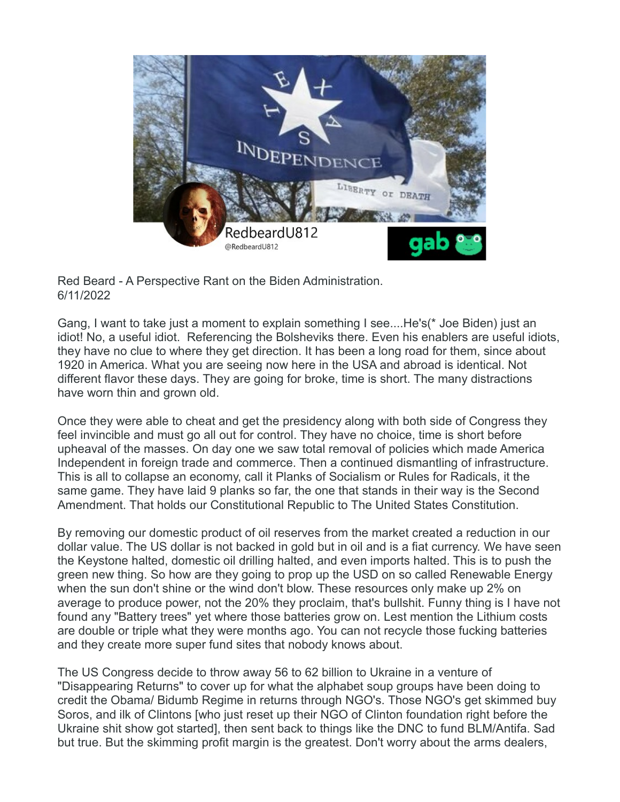

Red Beard - A Perspective Rant on the Biden Administration. 6/11/2022

Gang, I want to take just a moment to explain something I see....He's(\* Joe Biden) just an idiot! No, a useful idiot. Referencing the Bolsheviks there. Even his enablers are useful idiots, they have no clue to where they get direction. It has been a long road for them, since about 1920 in America. What you are seeing now here in the USA and abroad is identical. Not different flavor these days. They are going for broke, time is short. The many distractions have worn thin and grown old.

Once they were able to cheat and get the presidency along with both side of Congress they feel invincible and must go all out for control. They have no choice, time is short before upheaval of the masses. On day one we saw total removal of policies which made America Independent in foreign trade and commerce. Then a continued dismantling of infrastructure. This is all to collapse an economy, call it Planks of Socialism or Rules for Radicals, it the same game. They have laid 9 planks so far, the one that stands in their way is the Second Amendment. That holds our Constitutional Republic to The United States Constitution.

By removing our domestic product of oil reserves from the market created a reduction in our dollar value. The US dollar is not backed in gold but in oil and is a fiat currency. We have seen the Keystone halted, domestic oil drilling halted, and even imports halted. This is to push the green new thing. So how are they going to prop up the USD on so called Renewable Energy when the sun don't shine or the wind don't blow. These resources only make up 2% on average to produce power, not the 20% they proclaim, that's bullshit. Funny thing is I have not found any "Battery trees" yet where those batteries grow on. Lest mention the Lithium costs are double or triple what they were months ago. You can not recycle those fucking batteries and they create more super fund sites that nobody knows about.

The US Congress decide to throw away 56 to 62 billion to Ukraine in a venture of "Disappearing Returns" to cover up for what the alphabet soup groups have been doing to credit the Obama/ Bidumb Regime in returns through NGO's. Those NGO's get skimmed buy Soros, and ilk of Clintons [who just reset up their NGO of Clinton foundation right before the Ukraine shit show got started], then sent back to things like the DNC to fund BLM/Antifa. Sad but true. But the skimming profit margin is the greatest. Don't worry about the arms dealers,